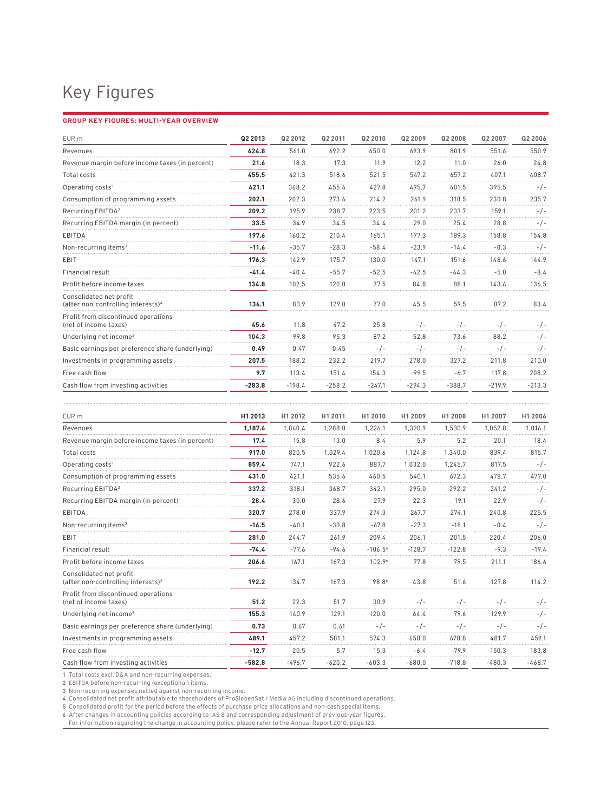## Key Figures

## **Group Key Figures: Multi-Year Overview**

| EUR <sub>m</sub>                                                          | Q2 2013  | Q2 2012  | Q2 2011  | Q2 2010  | Q2 2009  | Q2 2008         | Q2 2007  | Q2 2006  |
|---------------------------------------------------------------------------|----------|----------|----------|----------|----------|-----------------|----------|----------|
| Revenues                                                                  | 624.8    | 561.0    | 692.2    | 650.0    | 693.9    | 801.9           | 551.6    | 550.9    |
| Revenue margin before income taxes (in percent)                           | 21.6     | 18.3     | 17.3     | 11.9     | 12.2     | 11 <sub>0</sub> | 26.0     | 24.8     |
| Total costs                                                               | 455.5    | 421.3    | 518.6    | 521.5    | 547.2    | 657.2           | 407.1    | 408.7    |
| Operating costs <sup>1</sup>                                              | 421.1    | 368.2    | 455.6    | 427.8    | 495.7    | 601.5           | 395.5    | $-/-$    |
| Consumption of programming assets                                         | 202.1    | 202.3    | 273.6    | 214.2    | 261.9    | 318.5           | 230.8    | 235.7    |
| Recurring EBITDA <sup>2</sup>                                             | 209.2    | 195.9    | 238.7    | 223.5    | 201.2    | 203.7           | 159.1    | $-1-$    |
| Recurring EBITDA margin (in percent)                                      | 33.5     | 34.9     | 34.5     | 34.4     | 29.0     | 25.4            | 28.8     | $-/-$    |
| EBITDA                                                                    | 197.6    | 160.2    | 210.4    | 165.1    | 177.3    | 189.3           | 158.8    | 154.8    |
| Non-recurring items <sup>3</sup>                                          | $-11.6$  | $-35.7$  | $-28.3$  | $-58.4$  | $-23.9$  | $-14.4$         | $-0.3$   | $-1-$    |
| EBIT                                                                      | 176.3    | 142.9    | 175.7    | 130.0    | 147.1    | 151.6           | 148.6    | 144.9    |
| <b>Financial result</b>                                                   | $-41.4$  | $-40.4$  | $-55.7$  | $-52.5$  | $-62.5$  | $-64.3$         | $-5.0$   | $-8.4$   |
| Profit before income taxes                                                | 134.8    | 102.5    | 120.0    | 77.5     | 84.8     | 88.1            | 143.6    | 136.5    |
| Consolidated net profit<br>(after non-controlling interests) <sup>4</sup> | 136.1    | 83.9     | 129.0    | 77.0     | 45.5     | 59.5            | 87.2     | 83.4     |
| Profit from discontinued operations<br>(net of income taxes)              | 45.6     | 11.8     | 47.2     | 25.8     | $-1$ -   | $-1-$           | $-1-$    | $-1$ -   |
| Underlying net income <sup>5</sup>                                        | 104.3    | 99.8     | 95.3     | 87.2     | 52.8     | 73.6            | 88.2     | $-/-$    |
| Basic earnings per preference share (underlying)                          | 0.49     | 0.47     | 0.45     | $-1-$    | - / -    | $-1-$           | - / -    | $-1-$    |
| Investments in programming assets                                         | 207.5    | 188.2    | 232.2    | 219.7    | 278.0    | 327.2           | 211.8    | 210.0    |
| Free cash flow                                                            | 9.7      | 113.4    | 151.4    | 154.3    | 99.5     | $-6.7$          | 117.8    | 208.2    |
| Cash flow from investing activities                                       | $-283.8$ | $-198.4$ | $-258.2$ | $-247.1$ | $-294.3$ | $-388.7$        | $-219.9$ | $-213.3$ |

| EUR m                                                                     | H1 2013  | H1 2012  | H1 2011  | H1 2010   | H1 2009   | H1 2008  | H1 2007  | H1 2006  |
|---------------------------------------------------------------------------|----------|----------|----------|-----------|-----------|----------|----------|----------|
| Revenues                                                                  | 1.187.6  | 1.060.4  | 1.288.0  | 1.226.1   | 1.320.9   | 1.530.9  | 1.052.8  | 1.016.1  |
| Revenue margin before income taxes (in percent)                           | 17.4     | 15.8     | 13.0     | 8.4       | 5.9       | 5.2      | 20.1     | 18.4     |
| Total costs                                                               | 917.0    | 820.5    | 1.029.4  | 1.020.6   | 1.124.8   | 1.340.0  | 839.4    | 815.7    |
| Operating costs <sup>1</sup>                                              | 859.4    | 747.1    | 922.6    | 887.7     | 1.032.0   | 1.245.7  | 817.5    | $-1-$    |
| Consumption of programming assets                                         | 431.0    | 421.1    | 535.6    | 460.5     | 540.1     | 672.3    | 478.7    | 477.0    |
| Recurring EBITDA <sup>2</sup>                                             | 337.2    | 318.1    | 368.7    | 342.1     | 295.0     | 292.2    | 241.2    | - / -    |
| Recurring EBITDA margin (in percent)                                      | 28.4     | 30.0     | 28.6     | 27.9      | 22.3      | 19.1     | 22.9     | $-1-$    |
| EBITDA                                                                    | 320.7    | 278.0    | 337.9    | 274.3     | 267.7     | 274.1    | 240.8    | 225.5    |
| Non-recurring items <sup>3</sup>                                          | $-16.5$  | $-40.1$  | $-30.8$  | $-67.8$   | $-27.3$   | $-18.1$  | $-0.4$   | $-1-$    |
| EBIT                                                                      | 281.0    | 244.7    | 261.9    | 209.4     | 206.1     | 201.5    | 220.4    | 206.0    |
| Financial result                                                          | $-74.4$  | $-77.6$  | $-94.6$  | $-106.56$ | $-128.7$  | $-122.8$ | $-9.3$   | $-19.4$  |
| Profit before income taxes                                                | 206.6    | 167.1    | 167.3    | 102.96    | 77.8      | 79.5     | 211.1    | 186.6    |
| Consolidated net profit<br>(after non-controlling interests) <sup>4</sup> | 192.2    | 134.7    | 167.3    | 98.86     | 43.8      | 51.6     | 127.8    | 114.2    |
| Profit from discontinued operations<br>(net of income taxes)              | 51.2     | 22.3     | 51.7     | 30.9      | $-1$ -    | $-1-$    | $-1-$    | $-1$ -   |
| Underlying net income <sup>5</sup>                                        | 155.3    | 140.9    | 129.1    | 120.0     | 64.4      | 79.6     | 129.9    | $-1-$    |
| Basic earnings per preference share (underlying)                          | 0.73     | 0.67     | 0.61     | $-1-$     | $-$ / $-$ | $-1-$    | $-1$ -   | $-/-$    |
| Investments in programming assets                                         | 489.1    | 457.2    | 581.1    | 574.3     | 658.0     | 678.8    | 481.7    | 459.1    |
| Free cash flow                                                            | $-12.7$  | 20.5     | 5.7      | 15.3      | $-6.4$    | $-79.9$  | 150.3    | 183.8    |
| Cash flow from investing activities                                       | $-582.8$ | $-496.7$ | $-620.2$ | $-603.3$  | $-680.0$  | $-718.8$ | $-480.3$ | $-468.7$ |

1 Total costs excl. D&A and non-recurring expenses.

2 EBITDA before non-recurring (exceptional) items.

3 Non-recurring expenses netted against non-recurring income.

4 Consolidated net profit attributable to shareholders of ProSiebenSat.1 Media AG including discontinued operations.<br>5 Consolidated profit for the period before the effects of purchase price allocations and non-cash specia

6 After changes in accounting policies according to IAS 8 and corresponding adjustment of previous-year figures.

For information regarding the change in accounting policy, please refer to the Annual Report 2010, page 123.